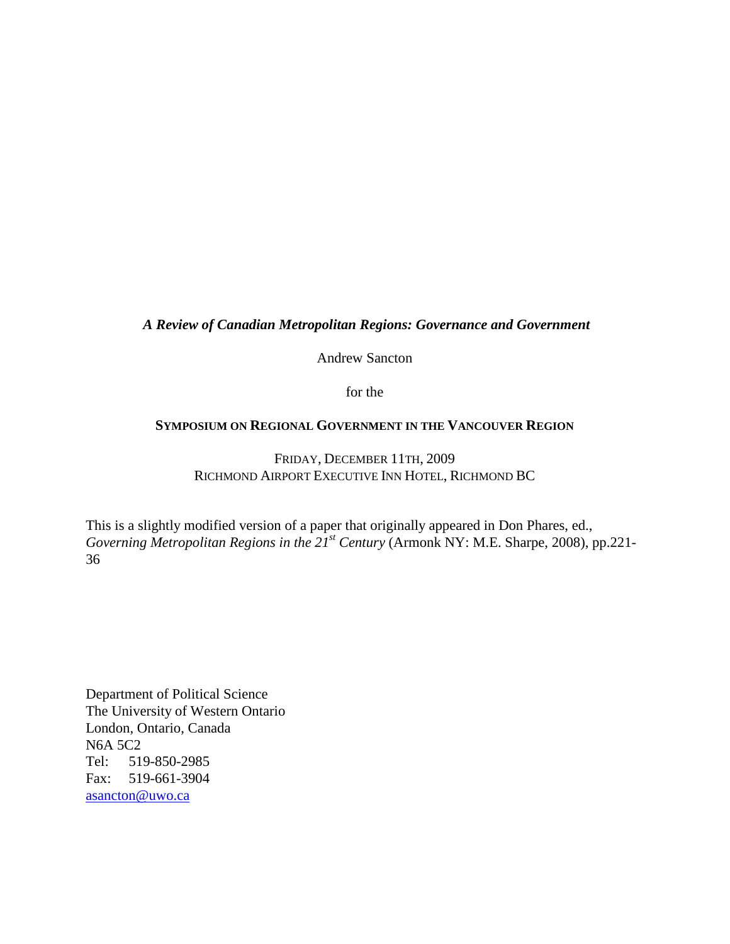# *A Review of Canadian Metropolitan Regions: Governance and Government*

Andrew Sancton

for the

### **SYMPOSIUM ON REGIONAL GOVERNMENT IN THE VANCOUVER REGION**

FRIDAY, DECEMBER 11TH, 2009 RICHMOND AIRPORT EXECUTIVE INN HOTEL, RICHMOND BC

This is a slightly modified version of a paper that originally appeared in Don Phares, ed., *Governing Metropolitan Regions in the 21st Century* (Armonk NY: M.E. Sharpe, 2008), pp.221- 36

Department of Political Science The University of Western Ontario London, Ontario, Canada N6A 5C2 Tel: 519-850-2985 Fax: 519-661-3904 asancton@uwo.ca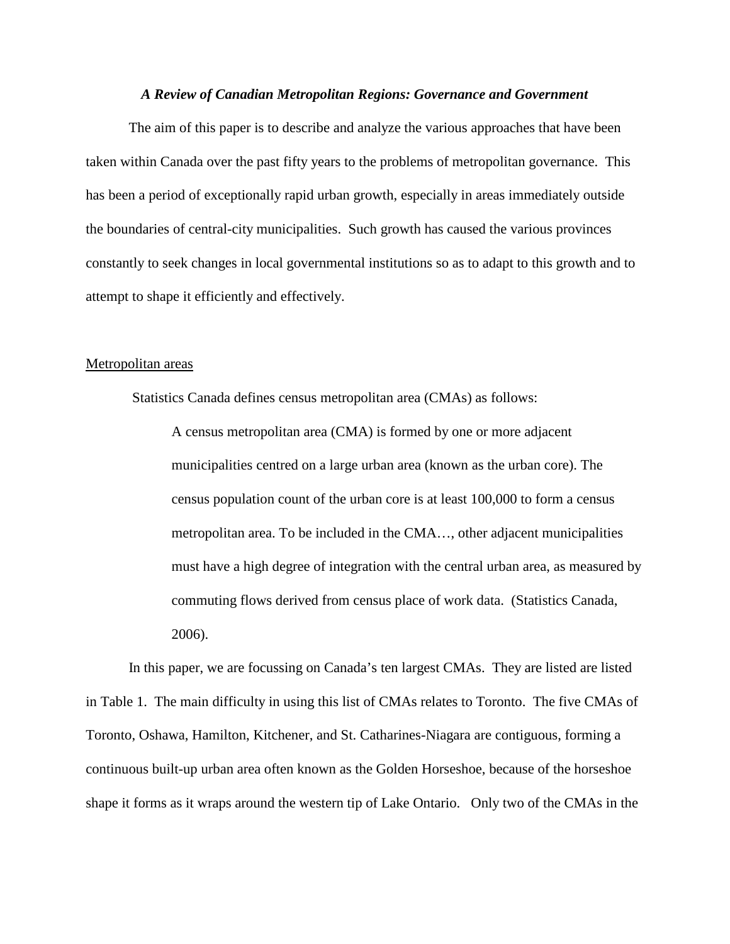#### *A Review of Canadian Metropolitan Regions: Governance and Government*

The aim of this paper is to describe and analyze the various approaches that have been taken within Canada over the past fifty years to the problems of metropolitan governance. This has been a period of exceptionally rapid urban growth, especially in areas immediately outside the boundaries of central-city municipalities. Such growth has caused the various provinces constantly to seek changes in local governmental institutions so as to adapt to this growth and to attempt to shape it efficiently and effectively.

#### Metropolitan areas

Statistics Canada defines census metropolitan area (CMAs) as follows:

A census metropolitan area (CMA) is formed by one or more adjacent municipalities centred on a large urban area (known as the urban core). The census population count of the urban core is at least 100,000 to form a census metropolitan area. To be included in the CMA…, other adjacent municipalities must have a high degree of integration with the central urban area, as measured by commuting flows derived from census place of work data. (Statistics Canada, 2006).

In this paper, we are focussing on Canada's ten largest CMAs. They are listed are listed in Table 1. The main difficulty in using this list of CMAs relates to Toronto. The five CMAs of Toronto, Oshawa, Hamilton, Kitchener, and St. Catharines-Niagara are contiguous, forming a continuous built-up urban area often known as the Golden Horseshoe, because of the horseshoe shape it forms as it wraps around the western tip of Lake Ontario. Only two of the CMAs in the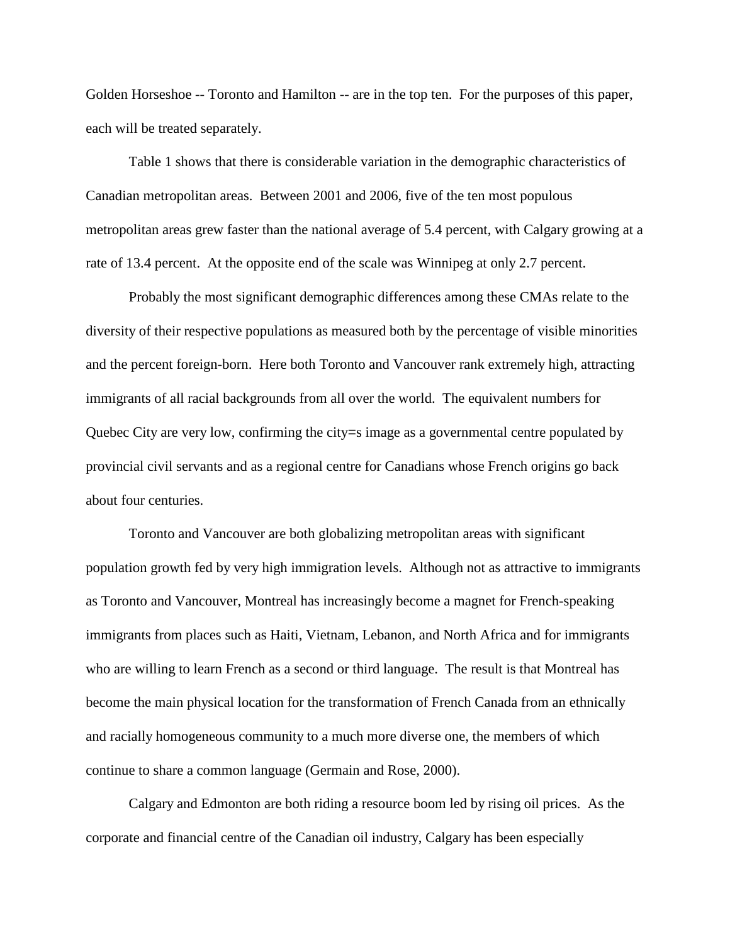Golden Horseshoe -- Toronto and Hamilton -- are in the top ten. For the purposes of this paper, each will be treated separately.

Table 1 shows that there is considerable variation in the demographic characteristics of Canadian metropolitan areas. Between 2001 and 2006, five of the ten most populous metropolitan areas grew faster than the national average of 5.4 percent, with Calgary growing at a rate of 13.4 percent. At the opposite end of the scale was Winnipeg at only 2.7 percent.

Probably the most significant demographic differences among these CMAs relate to the diversity of their respective populations as measured both by the percentage of visible minorities and the percent foreign-born. Here both Toronto and Vancouver rank extremely high, attracting immigrants of all racial backgrounds from all over the world. The equivalent numbers for Quebec City are very low, confirming the city=s image as a governmental centre populated by provincial civil servants and as a regional centre for Canadians whose French origins go back about four centuries.

Toronto and Vancouver are both globalizing metropolitan areas with significant population growth fed by very high immigration levels. Although not as attractive to immigrants as Toronto and Vancouver, Montreal has increasingly become a magnet for French-speaking immigrants from places such as Haiti, Vietnam, Lebanon, and North Africa and for immigrants who are willing to learn French as a second or third language. The result is that Montreal has become the main physical location for the transformation of French Canada from an ethnically and racially homogeneous community to a much more diverse one, the members of which continue to share a common language (Germain and Rose, 2000).

Calgary and Edmonton are both riding a resource boom led by rising oil prices. As the corporate and financial centre of the Canadian oil industry, Calgary has been especially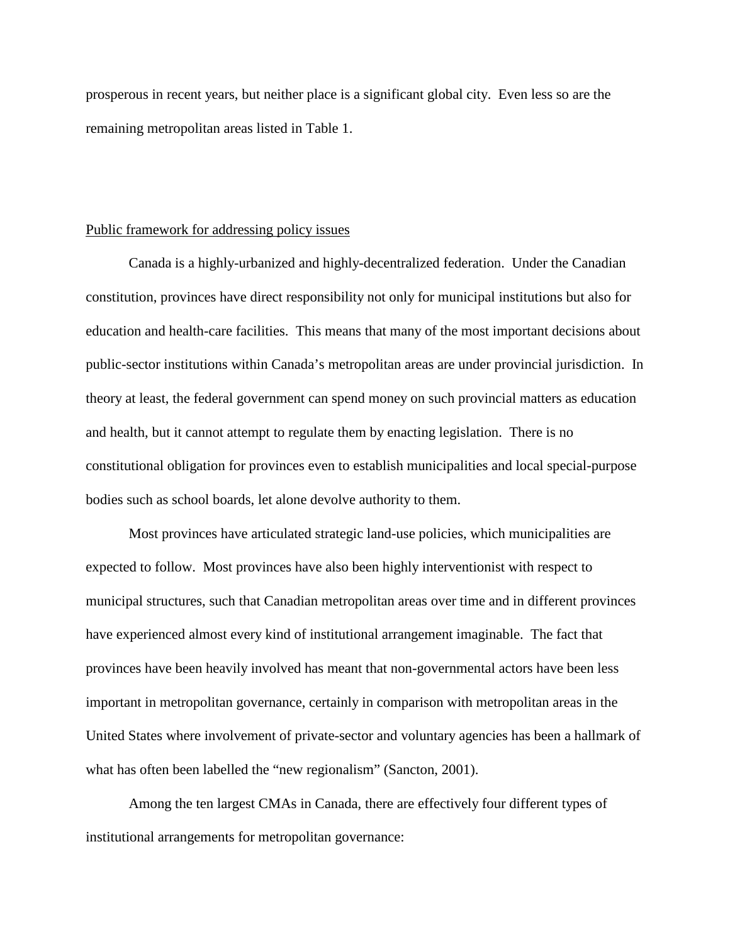prosperous in recent years, but neither place is a significant global city. Even less so are the remaining metropolitan areas listed in Table 1.

#### Public framework for addressing policy issues

Canada is a highly-urbanized and highly-decentralized federation. Under the Canadian constitution, provinces have direct responsibility not only for municipal institutions but also for education and health-care facilities. This means that many of the most important decisions about public-sector institutions within Canada's metropolitan areas are under provincial jurisdiction. In theory at least, the federal government can spend money on such provincial matters as education and health, but it cannot attempt to regulate them by enacting legislation. There is no constitutional obligation for provinces even to establish municipalities and local special-purpose bodies such as school boards, let alone devolve authority to them.

Most provinces have articulated strategic land-use policies, which municipalities are expected to follow. Most provinces have also been highly interventionist with respect to municipal structures, such that Canadian metropolitan areas over time and in different provinces have experienced almost every kind of institutional arrangement imaginable. The fact that provinces have been heavily involved has meant that non-governmental actors have been less important in metropolitan governance, certainly in comparison with metropolitan areas in the United States where involvement of private-sector and voluntary agencies has been a hallmark of what has often been labelled the "new regionalism" (Sancton, 2001).

Among the ten largest CMAs in Canada, there are effectively four different types of institutional arrangements for metropolitan governance: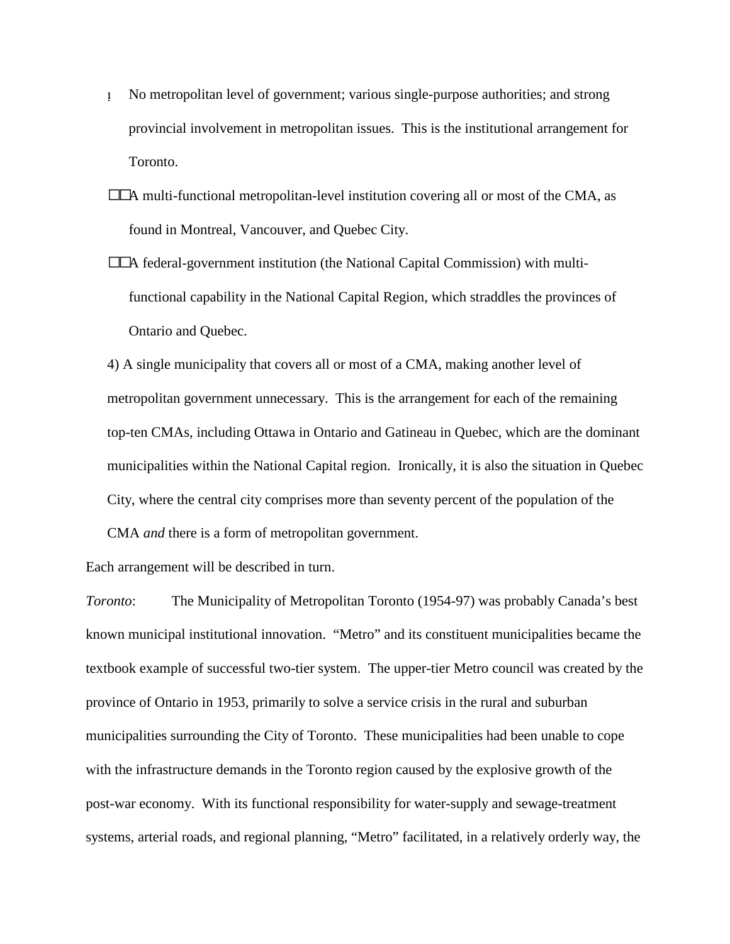- No metropolitan level of government; various single-purpose authorities; and strong provincial involvement in metropolitan issues. This is the institutional arrangement for Toronto.
- $\square\square$ A multi-functional metropolitan-level institution covering all or most of the CMA, as found in Montreal, Vancouver, and Quebec City.
- A federal-government institution (the National Capital Commission) with multifunctional capability in the National Capital Region, which straddles the provinces of Ontario and Quebec.

4) A single municipality that covers all or most of a CMA, making another level of metropolitan government unnecessary. This is the arrangement for each of the remaining top-ten CMAs, including Ottawa in Ontario and Gatineau in Quebec, which are the dominant municipalities within the National Capital region. Ironically, it is also the situation in Quebec City, where the central city comprises more than seventy percent of the population of the

CMA *and* there is a form of metropolitan government.

Each arrangement will be described in turn.

*Toronto*: The Municipality of Metropolitan Toronto (1954-97) was probably Canada's best known municipal institutional innovation. "Metro" and its constituent municipalities became the textbook example of successful two-tier system. The upper-tier Metro council was created by the province of Ontario in 1953, primarily to solve a service crisis in the rural and suburban municipalities surrounding the City of Toronto. These municipalities had been unable to cope with the infrastructure demands in the Toronto region caused by the explosive growth of the post-war economy. With its functional responsibility for water-supply and sewage-treatment systems, arterial roads, and regional planning, "Metro" facilitated, in a relatively orderly way, the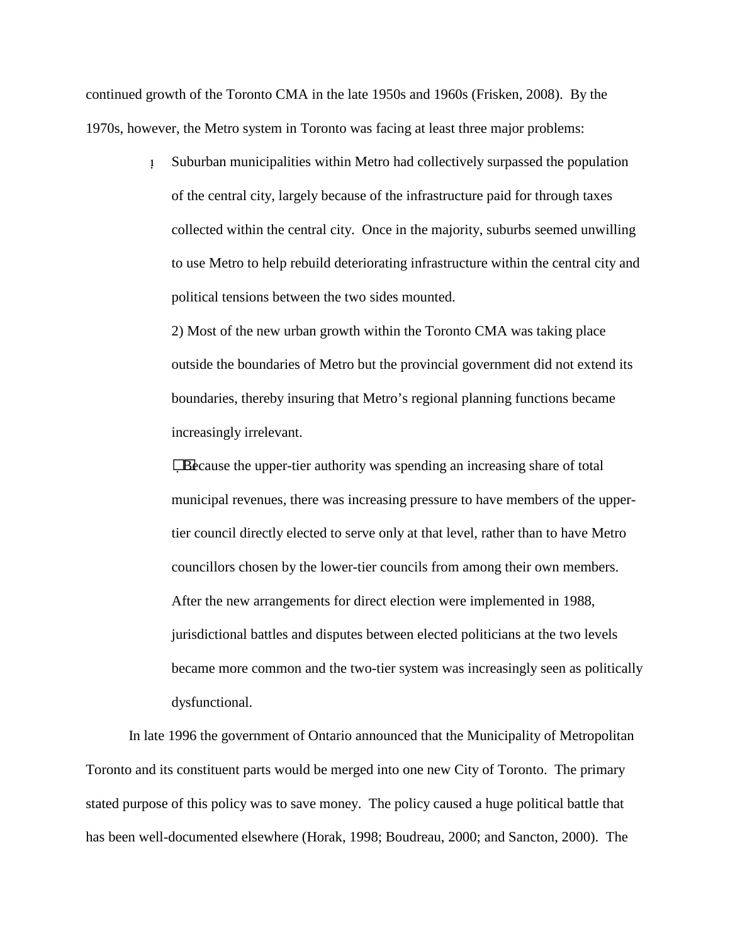continued growth of the Toronto CMA in the late 1950s and 1960s (Frisken, 2008). By the 1970s, however, the Metro system in Toronto was facing at least three major problems:

> Suburban municipalities within Metro had collectively surpassed the population of the central city, largely because of the infrastructure paid for through taxes collected within the central city. Once in the majority, suburbs seemed unwilling to use Metro to help rebuild deteriorating infrastructure within the central city and political tensions between the two sides mounted.

2) Most of the new urban growth within the Toronto CMA was taking place outside the boundaries of Metro but the provincial government did not extend its boundaries, thereby insuring that Metro's regional planning functions became increasingly irrelevant.

Because the upper-tier authority was spending an increasing share of total municipal revenues, there was increasing pressure to have members of the uppertier council directly elected to serve only at that level, rather than to have Metro councillors chosen by the lower-tier councils from among their own members. After the new arrangements for direct election were implemented in 1988, jurisdictional battles and disputes between elected politicians at the two levels became more common and the two-tier system was increasingly seen as politically dysfunctional.

In late 1996 the government of Ontario announced that the Municipality of Metropolitan Toronto and its constituent parts would be merged into one new City of Toronto. The primary stated purpose of this policy was to save money. The policy caused a huge political battle that has been well-documented elsewhere (Horak, 1998; Boudreau, 2000; and Sancton, 2000). The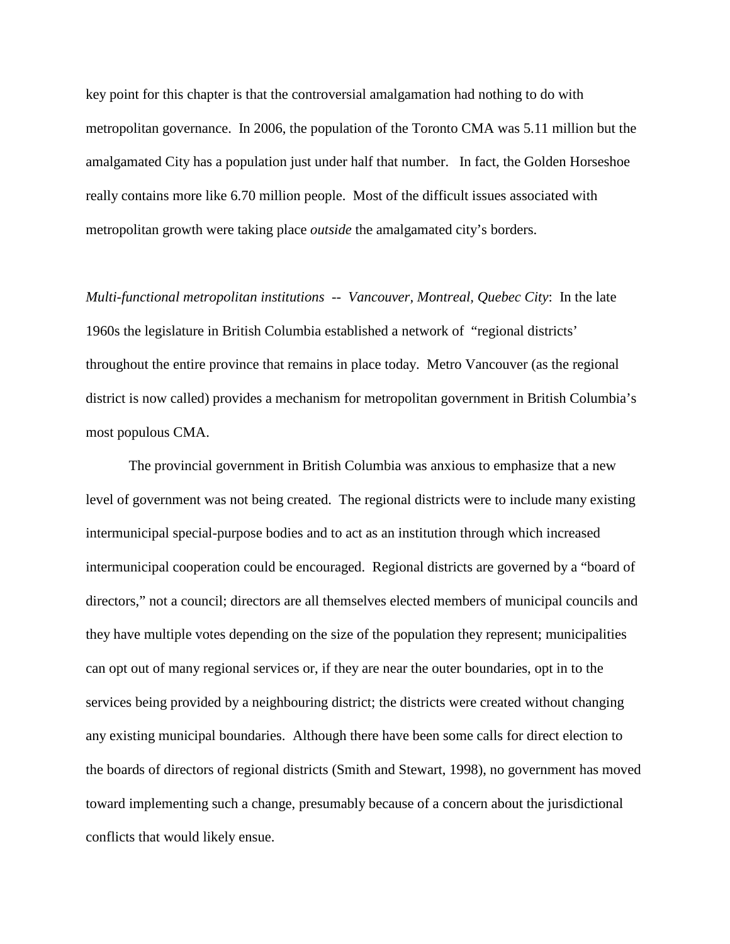key point for this chapter is that the controversial amalgamation had nothing to do with metropolitan governance. In 2006, the population of the Toronto CMA was 5.11 million but the amalgamated City has a population just under half that number. In fact, the Golden Horseshoe really contains more like 6.70 million people. Most of the difficult issues associated with metropolitan growth were taking place *outside* the amalgamated city's borders.

*Multi-functional metropolitan institutions* -- *Vancouver, Montreal, Quebec City*: In the late 1960s the legislature in British Columbia established a network of "regional districts' throughout the entire province that remains in place today. Metro Vancouver (as the regional district is now called) provides a mechanism for metropolitan government in British Columbia's most populous CMA.

The provincial government in British Columbia was anxious to emphasize that a new level of government was not being created. The regional districts were to include many existing intermunicipal special-purpose bodies and to act as an institution through which increased intermunicipal cooperation could be encouraged. Regional districts are governed by a "board of directors," not a council; directors are all themselves elected members of municipal councils and they have multiple votes depending on the size of the population they represent; municipalities can opt out of many regional services or, if they are near the outer boundaries, opt in to the services being provided by a neighbouring district; the districts were created without changing any existing municipal boundaries. Although there have been some calls for direct election to the boards of directors of regional districts (Smith and Stewart, 1998), no government has moved toward implementing such a change, presumably because of a concern about the jurisdictional conflicts that would likely ensue.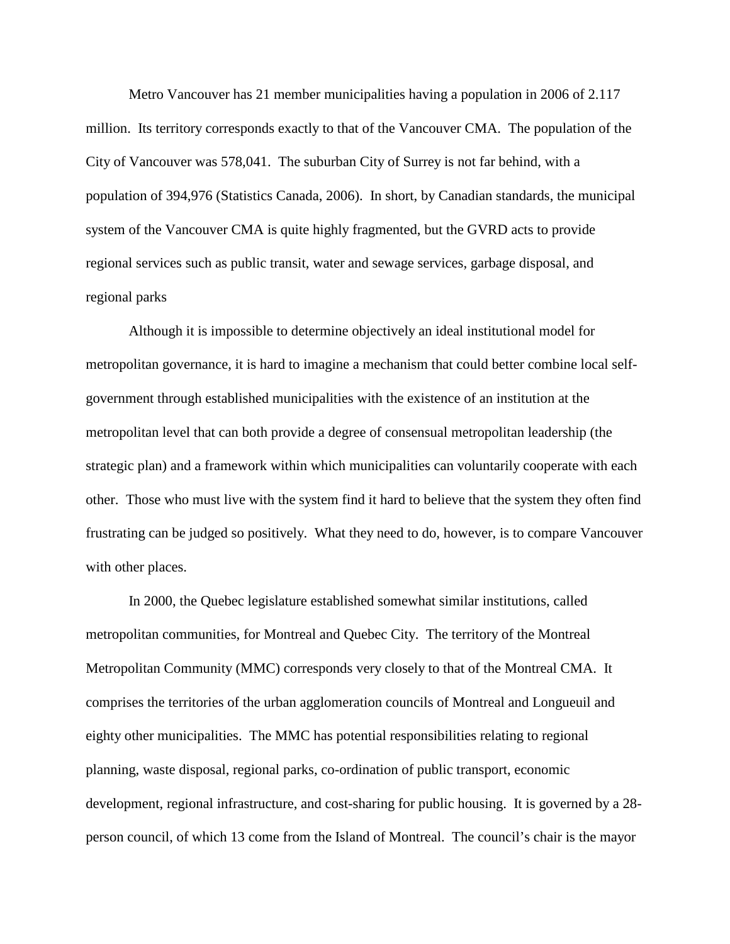Metro Vancouver has 21 member municipalities having a population in 2006 of 2.117 million. Its territory corresponds exactly to that of the Vancouver CMA. The population of the City of Vancouver was 578,041. The suburban City of Surrey is not far behind, with a population of 394,976 (Statistics Canada, 2006). In short, by Canadian standards, the municipal system of the Vancouver CMA is quite highly fragmented, but the GVRD acts to provide regional services such as public transit, water and sewage services, garbage disposal, and regional parks

Although it is impossible to determine objectively an ideal institutional model for metropolitan governance, it is hard to imagine a mechanism that could better combine local selfgovernment through established municipalities with the existence of an institution at the metropolitan level that can both provide a degree of consensual metropolitan leadership (the strategic plan) and a framework within which municipalities can voluntarily cooperate with each other. Those who must live with the system find it hard to believe that the system they often find frustrating can be judged so positively. What they need to do, however, is to compare Vancouver with other places.

In 2000, the Quebec legislature established somewhat similar institutions, called metropolitan communities, for Montreal and Quebec City. The territory of the Montreal Metropolitan Community (MMC) corresponds very closely to that of the Montreal CMA. It comprises the territories of the urban agglomeration councils of Montreal and Longueuil and eighty other municipalities. The MMC has potential responsibilities relating to regional planning, waste disposal, regional parks, co-ordination of public transport, economic development, regional infrastructure, and cost-sharing for public housing. It is governed by a 28 person council, of which 13 come from the Island of Montreal. The council's chair is the mayor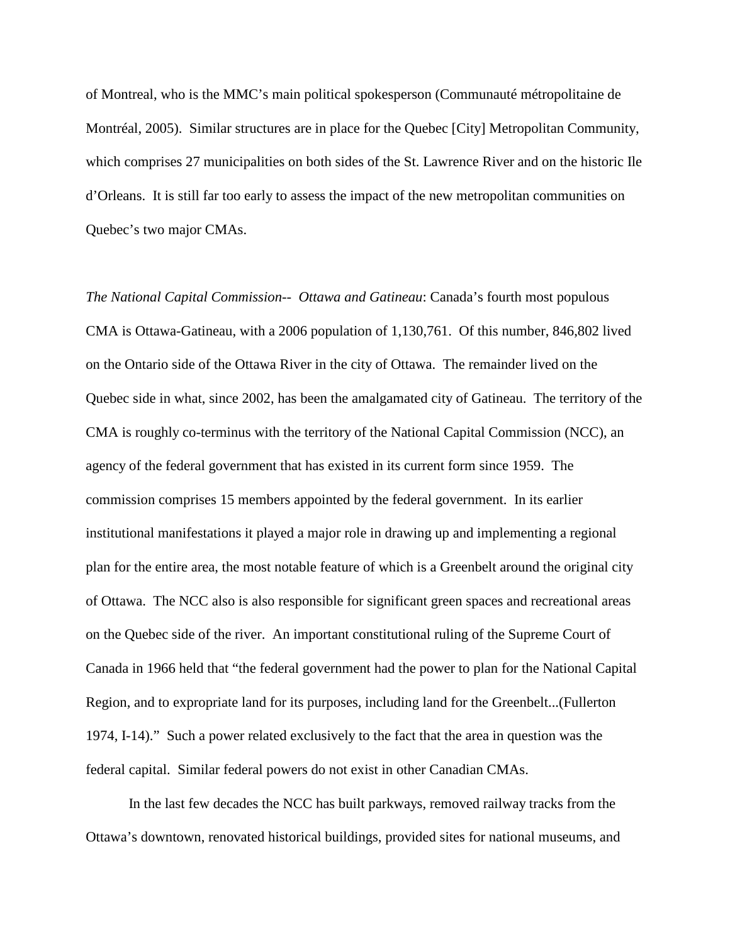of Montreal, who is the MMC's main political spokesperson (Communauté métropolitaine de Montréal, 2005). Similar structures are in place for the Quebec [City] Metropolitan Community, which comprises 27 municipalities on both sides of the St. Lawrence River and on the historic Ile d'Orleans. It is still far too early to assess the impact of the new metropolitan communities on Quebec's two major CMAs.

*The National Capital Commission-- Ottawa and Gatineau*: Canada's fourth most populous CMA is Ottawa-Gatineau, with a 2006 population of 1,130,761. Of this number, 846,802 lived on the Ontario side of the Ottawa River in the city of Ottawa. The remainder lived on the Quebec side in what, since 2002, has been the amalgamated city of Gatineau. The territory of the CMA is roughly co-terminus with the territory of the National Capital Commission (NCC), an agency of the federal government that has existed in its current form since 1959. The commission comprises 15 members appointed by the federal government. In its earlier institutional manifestations it played a major role in drawing up and implementing a regional plan for the entire area, the most notable feature of which is a Greenbelt around the original city of Ottawa. The NCC also is also responsible for significant green spaces and recreational areas on the Quebec side of the river. An important constitutional ruling of the Supreme Court of Canada in 1966 held that "the federal government had the power to plan for the National Capital Region, and to expropriate land for its purposes, including land for the Greenbelt...(Fullerton 1974, I-14)." Such a power related exclusively to the fact that the area in question was the federal capital. Similar federal powers do not exist in other Canadian CMAs.

In the last few decades the NCC has built parkways, removed railway tracks from the Ottawa's downtown, renovated historical buildings, provided sites for national museums, and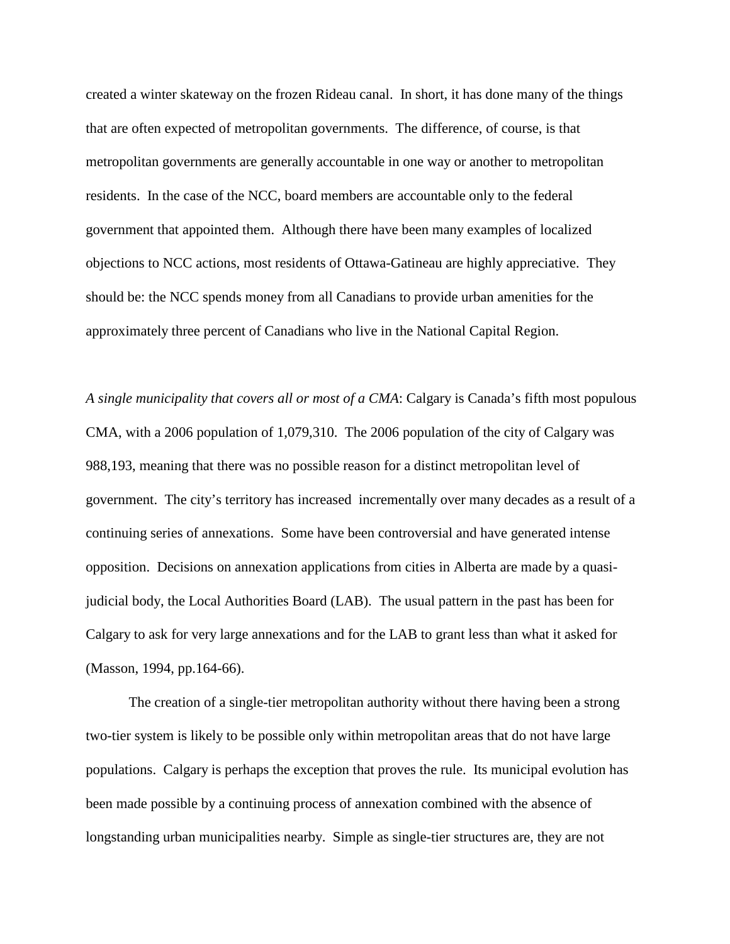created a winter skateway on the frozen Rideau canal. In short, it has done many of the things that are often expected of metropolitan governments. The difference, of course, is that metropolitan governments are generally accountable in one way or another to metropolitan residents. In the case of the NCC, board members are accountable only to the federal government that appointed them. Although there have been many examples of localized objections to NCC actions, most residents of Ottawa-Gatineau are highly appreciative. They should be: the NCC spends money from all Canadians to provide urban amenities for the approximately three percent of Canadians who live in the National Capital Region.

*A single municipality that covers all or most of a CMA*: Calgary is Canada's fifth most populous CMA, with a 2006 population of 1,079,310. The 2006 population of the city of Calgary was 988,193, meaning that there was no possible reason for a distinct metropolitan level of government. The city's territory has increased incrementally over many decades as a result of a continuing series of annexations. Some have been controversial and have generated intense opposition. Decisions on annexation applications from cities in Alberta are made by a quasijudicial body, the Local Authorities Board (LAB). The usual pattern in the past has been for Calgary to ask for very large annexations and for the LAB to grant less than what it asked for (Masson, 1994, pp.164-66).

The creation of a single-tier metropolitan authority without there having been a strong two-tier system is likely to be possible only within metropolitan areas that do not have large populations. Calgary is perhaps the exception that proves the rule. Its municipal evolution has been made possible by a continuing process of annexation combined with the absence of longstanding urban municipalities nearby. Simple as single-tier structures are, they are not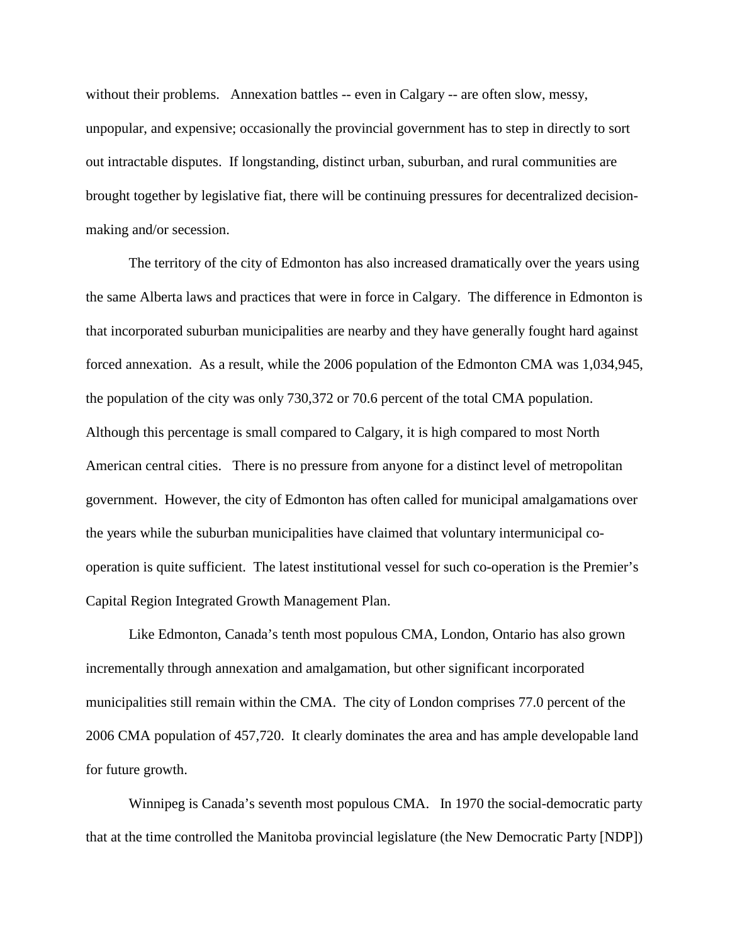without their problems. Annexation battles -- even in Calgary -- are often slow, messy, unpopular, and expensive; occasionally the provincial government has to step in directly to sort out intractable disputes. If longstanding, distinct urban, suburban, and rural communities are brought together by legislative fiat, there will be continuing pressures for decentralized decisionmaking and/or secession.

The territory of the city of Edmonton has also increased dramatically over the years using the same Alberta laws and practices that were in force in Calgary. The difference in Edmonton is that incorporated suburban municipalities are nearby and they have generally fought hard against forced annexation. As a result, while the 2006 population of the Edmonton CMA was 1,034,945, the population of the city was only 730,372 or 70.6 percent of the total CMA population. Although this percentage is small compared to Calgary, it is high compared to most North American central cities. There is no pressure from anyone for a distinct level of metropolitan government. However, the city of Edmonton has often called for municipal amalgamations over the years while the suburban municipalities have claimed that voluntary intermunicipal cooperation is quite sufficient. The latest institutional vessel for such co-operation is the Premier's Capital Region Integrated Growth Management Plan.

Like Edmonton, Canada's tenth most populous CMA, London, Ontario has also grown incrementally through annexation and amalgamation, but other significant incorporated municipalities still remain within the CMA. The city of London comprises 77.0 percent of the 2006 CMA population of 457,720. It clearly dominates the area and has ample developable land for future growth.

Winnipeg is Canada's seventh most populous CMA. In 1970 the social-democratic party that at the time controlled the Manitoba provincial legislature (the New Democratic Party [NDP])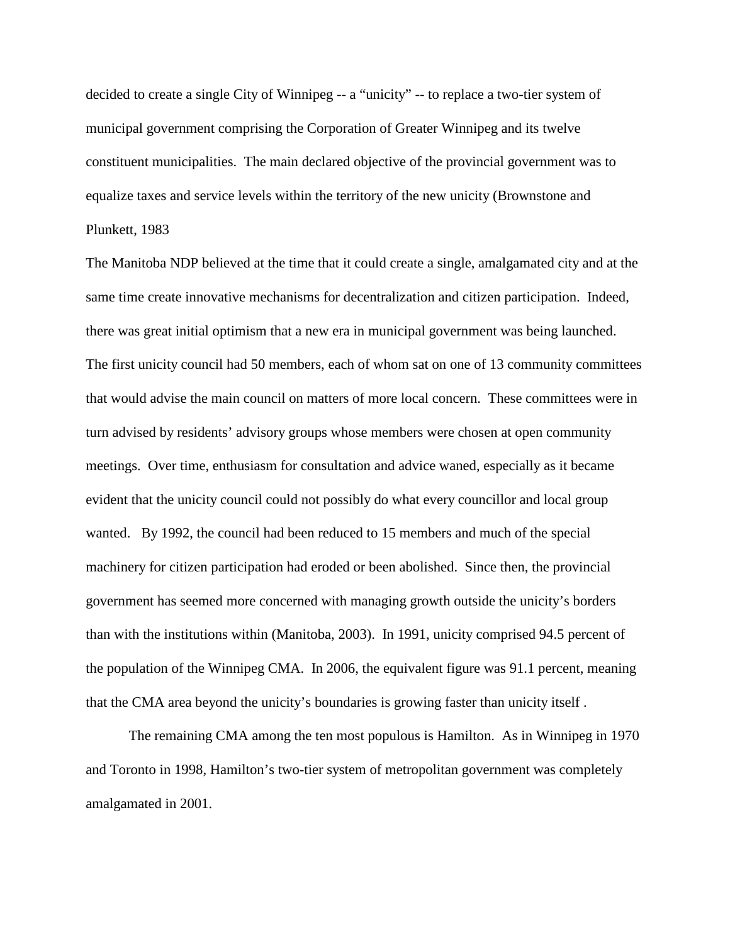decided to create a single City of Winnipeg -- a "unicity" -- to replace a two-tier system of municipal government comprising the Corporation of Greater Winnipeg and its twelve constituent municipalities. The main declared objective of the provincial government was to equalize taxes and service levels within the territory of the new unicity (Brownstone and Plunkett, 1983

The Manitoba NDP believed at the time that it could create a single, amalgamated city and at the same time create innovative mechanisms for decentralization and citizen participation. Indeed, there was great initial optimism that a new era in municipal government was being launched. The first unicity council had 50 members, each of whom sat on one of 13 community committees that would advise the main council on matters of more local concern. These committees were in turn advised by residents' advisory groups whose members were chosen at open community meetings. Over time, enthusiasm for consultation and advice waned, especially as it became evident that the unicity council could not possibly do what every councillor and local group wanted. By 1992, the council had been reduced to 15 members and much of the special machinery for citizen participation had eroded or been abolished. Since then, the provincial government has seemed more concerned with managing growth outside the unicity's borders than with the institutions within (Manitoba, 2003). In 1991, unicity comprised 94.5 percent of the population of the Winnipeg CMA. In 2006, the equivalent figure was 91.1 percent, meaning that the CMA area beyond the unicity's boundaries is growing faster than unicity itself .

The remaining CMA among the ten most populous is Hamilton. As in Winnipeg in 1970 and Toronto in 1998, Hamilton's two-tier system of metropolitan government was completely amalgamated in 2001.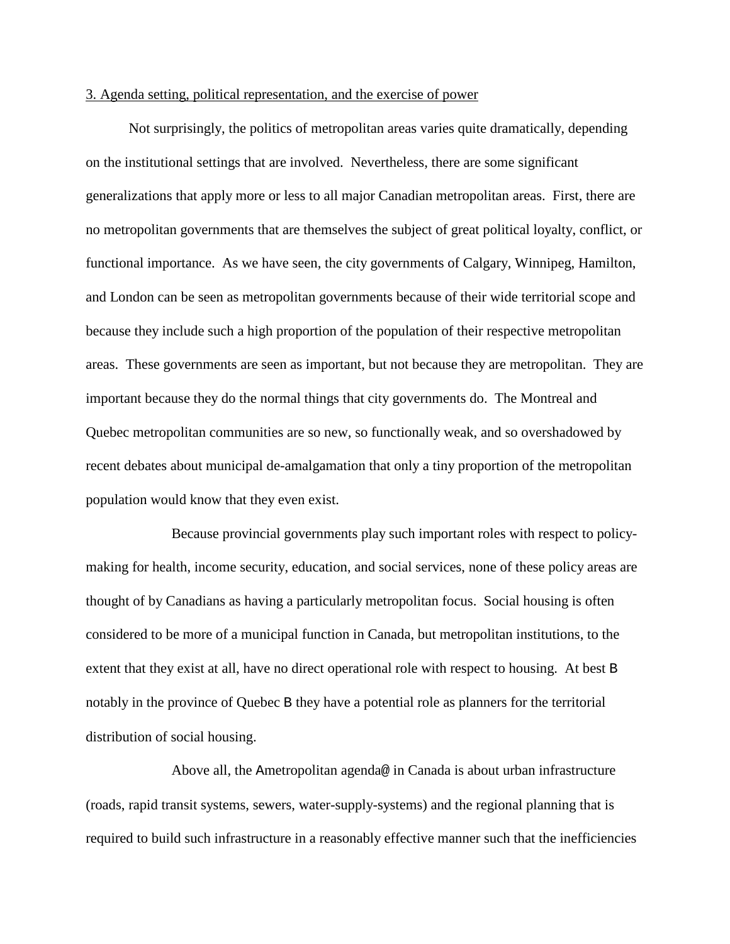#### 3. Agenda setting, political representation, and the exercise of power

Not surprisingly, the politics of metropolitan areas varies quite dramatically, depending on the institutional settings that are involved. Nevertheless, there are some significant generalizations that apply more or less to all major Canadian metropolitan areas. First, there are no metropolitan governments that are themselves the subject of great political loyalty, conflict, or functional importance. As we have seen, the city governments of Calgary, Winnipeg, Hamilton, and London can be seen as metropolitan governments because of their wide territorial scope and because they include such a high proportion of the population of their respective metropolitan areas. These governments are seen as important, but not because they are metropolitan. They are important because they do the normal things that city governments do. The Montreal and Quebec metropolitan communities are so new, so functionally weak, and so overshadowed by recent debates about municipal de-amalgamation that only a tiny proportion of the metropolitan population would know that they even exist.

Because provincial governments play such important roles with respect to policymaking for health, income security, education, and social services, none of these policy areas are thought of by Canadians as having a particularly metropolitan focus. Social housing is often considered to be more of a municipal function in Canada, but metropolitan institutions, to the extent that they exist at all, have no direct operational role with respect to housing. At best B notably in the province of Quebec B they have a potential role as planners for the territorial distribution of social housing.

Above all, the Ametropolitan agenda@ in Canada is about urban infrastructure (roads, rapid transit systems, sewers, water-supply-systems) and the regional planning that is required to build such infrastructure in a reasonably effective manner such that the inefficiencies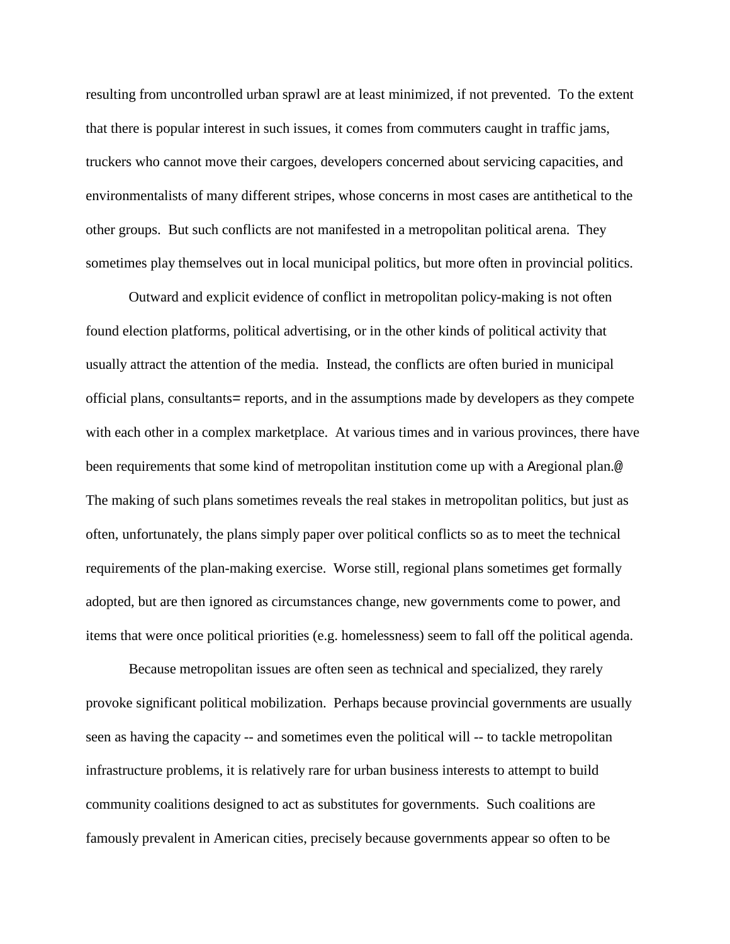resulting from uncontrolled urban sprawl are at least minimized, if not prevented. To the extent that there is popular interest in such issues, it comes from commuters caught in traffic jams, truckers who cannot move their cargoes, developers concerned about servicing capacities, and environmentalists of many different stripes, whose concerns in most cases are antithetical to the other groups. But such conflicts are not manifested in a metropolitan political arena. They sometimes play themselves out in local municipal politics, but more often in provincial politics.

Outward and explicit evidence of conflict in metropolitan policy-making is not often found election platforms, political advertising, or in the other kinds of political activity that usually attract the attention of the media. Instead, the conflicts are often buried in municipal official plans, consultants= reports, and in the assumptions made by developers as they compete with each other in a complex marketplace. At various times and in various provinces, there have been requirements that some kind of metropolitan institution come up with a Aregional plan.@ The making of such plans sometimes reveals the real stakes in metropolitan politics, but just as often, unfortunately, the plans simply paper over political conflicts so as to meet the technical requirements of the plan-making exercise. Worse still, regional plans sometimes get formally adopted, but are then ignored as circumstances change, new governments come to power, and items that were once political priorities (e.g. homelessness) seem to fall off the political agenda.

Because metropolitan issues are often seen as technical and specialized, they rarely provoke significant political mobilization. Perhaps because provincial governments are usually seen as having the capacity -- and sometimes even the political will -- to tackle metropolitan infrastructure problems, it is relatively rare for urban business interests to attempt to build community coalitions designed to act as substitutes for governments. Such coalitions are famously prevalent in American cities, precisely because governments appear so often to be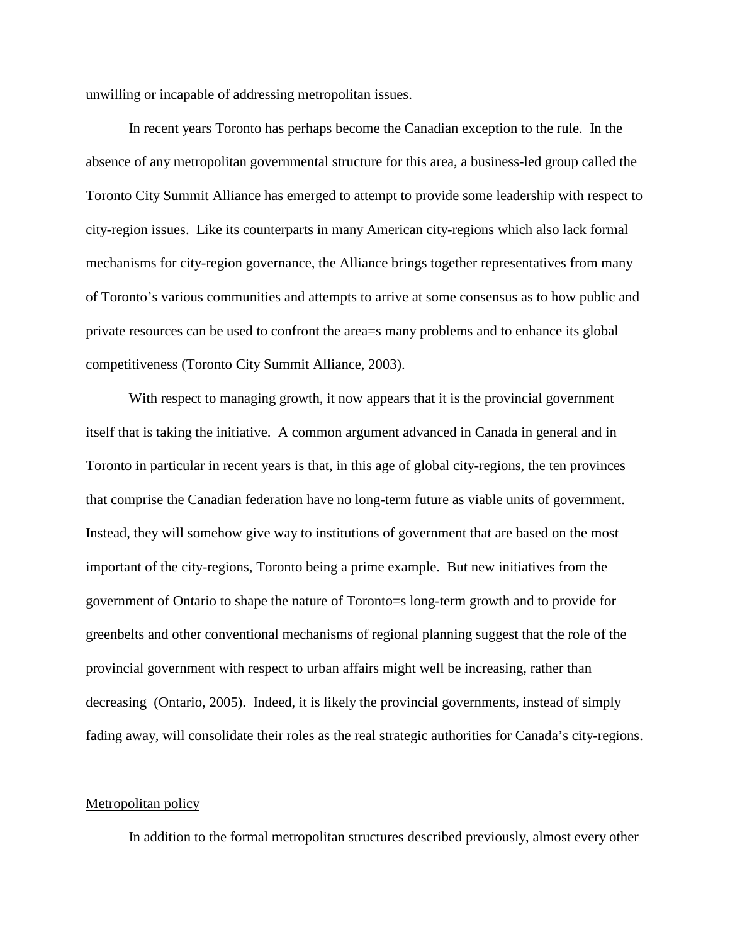unwilling or incapable of addressing metropolitan issues.

In recent years Toronto has perhaps become the Canadian exception to the rule. In the absence of any metropolitan governmental structure for this area, a business-led group called the Toronto City Summit Alliance has emerged to attempt to provide some leadership with respect to city-region issues. Like its counterparts in many American city-regions which also lack formal mechanisms for city-region governance, the Alliance brings together representatives from many of Toronto's various communities and attempts to arrive at some consensus as to how public and private resources can be used to confront the area=s many problems and to enhance its global competitiveness (Toronto City Summit Alliance, 2003).

With respect to managing growth, it now appears that it is the provincial government itself that is taking the initiative. A common argument advanced in Canada in general and in Toronto in particular in recent years is that, in this age of global city-regions, the ten provinces that comprise the Canadian federation have no long-term future as viable units of government. Instead, they will somehow give way to institutions of government that are based on the most important of the city-regions, Toronto being a prime example. But new initiatives from the government of Ontario to shape the nature of Toronto=s long-term growth and to provide for greenbelts and other conventional mechanisms of regional planning suggest that the role of the provincial government with respect to urban affairs might well be increasing, rather than decreasing (Ontario, 2005). Indeed, it is likely the provincial governments, instead of simply fading away, will consolidate their roles as the real strategic authorities for Canada's city-regions.

### Metropolitan policy

In addition to the formal metropolitan structures described previously, almost every other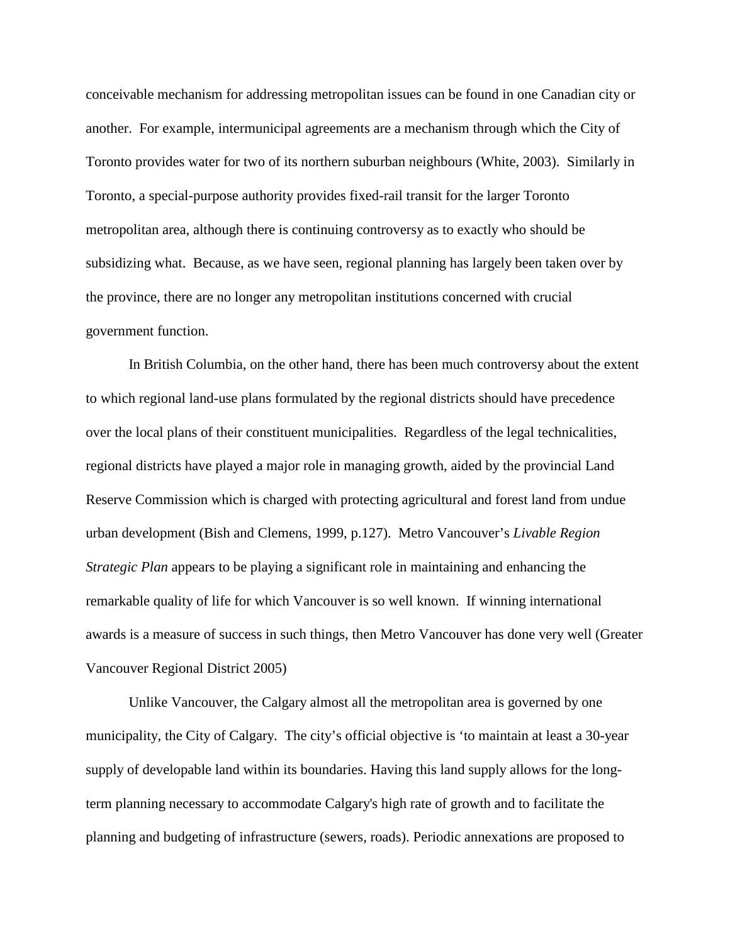conceivable mechanism for addressing metropolitan issues can be found in one Canadian city or another. For example, intermunicipal agreements are a mechanism through which the City of Toronto provides water for two of its northern suburban neighbours (White, 2003). Similarly in Toronto, a special-purpose authority provides fixed-rail transit for the larger Toronto metropolitan area, although there is continuing controversy as to exactly who should be subsidizing what. Because, as we have seen, regional planning has largely been taken over by the province, there are no longer any metropolitan institutions concerned with crucial government function.

In British Columbia, on the other hand, there has been much controversy about the extent to which regional land-use plans formulated by the regional districts should have precedence over the local plans of their constituent municipalities. Regardless of the legal technicalities, regional districts have played a major role in managing growth, aided by the provincial Land Reserve Commission which is charged with protecting agricultural and forest land from undue urban development (Bish and Clemens, 1999, p.127). Metro Vancouver's *Livable Region Strategic Plan* appears to be playing a significant role in maintaining and enhancing the remarkable quality of life for which Vancouver is so well known. If winning international awards is a measure of success in such things, then Metro Vancouver has done very well (Greater Vancouver Regional District 2005)

Unlike Vancouver, the Calgary almost all the metropolitan area is governed by one municipality, the City of Calgary. The city's official objective is 'to maintain at least a 30-year supply of developable land within its boundaries. Having this land supply allows for the longterm planning necessary to accommodate Calgary's high rate of growth and to facilitate the planning and budgeting of infrastructure (sewers, roads). Periodic annexations are proposed to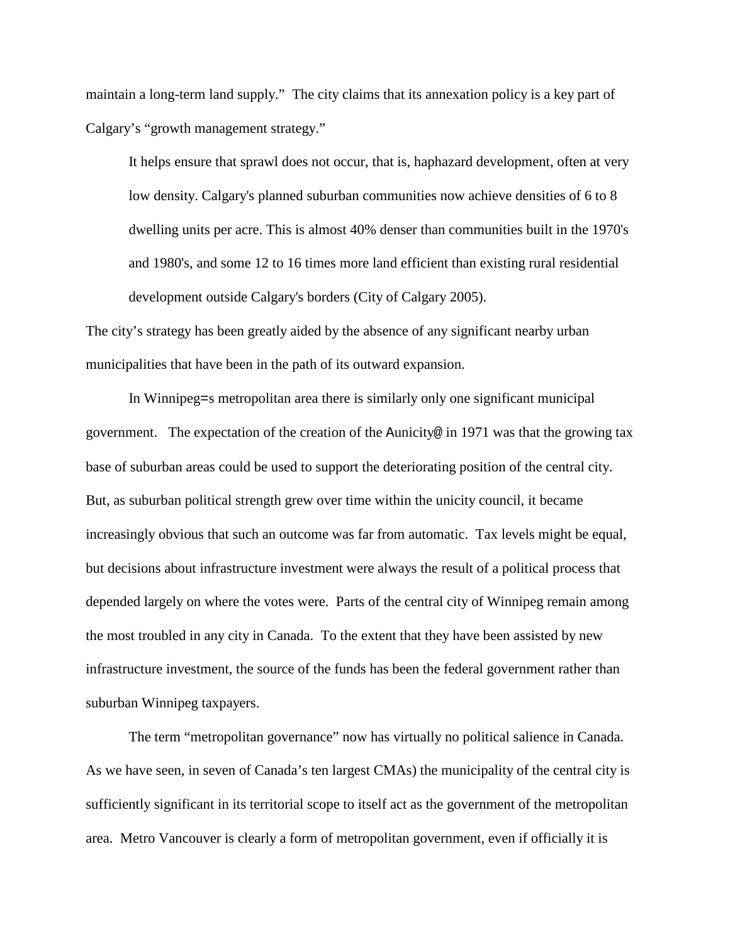maintain a long-term land supply." The city claims that its annexation policy is a key part of Calgary's "growth management strategy."

It helps ensure that sprawl does not occur, that is, haphazard development, often at very low density. Calgary's planned suburban communities now achieve densities of 6 to 8 dwelling units per acre. This is almost 40% denser than communities built in the 1970's and 1980's, and some 12 to 16 times more land efficient than existing rural residential development outside Calgary's borders (City of Calgary 2005).

The city's strategy has been greatly aided by the absence of any significant nearby urban municipalities that have been in the path of its outward expansion.

In Winnipeg=s metropolitan area there is similarly only one significant municipal government. The expectation of the creation of the Aunicity@ in 1971 was that the growing tax base of suburban areas could be used to support the deteriorating position of the central city. But, as suburban political strength grew over time within the unicity council, it became increasingly obvious that such an outcome was far from automatic. Tax levels might be equal, but decisions about infrastructure investment were always the result of a political process that depended largely on where the votes were. Parts of the central city of Winnipeg remain among the most troubled in any city in Canada. To the extent that they have been assisted by new infrastructure investment, the source of the funds has been the federal government rather than suburban Winnipeg taxpayers.

The term "metropolitan governance" now has virtually no political salience in Canada. As we have seen, in seven of Canada's ten largest CMAs) the municipality of the central city is sufficiently significant in its territorial scope to itself act as the government of the metropolitan area. Metro Vancouver is clearly a form of metropolitan government, even if officially it is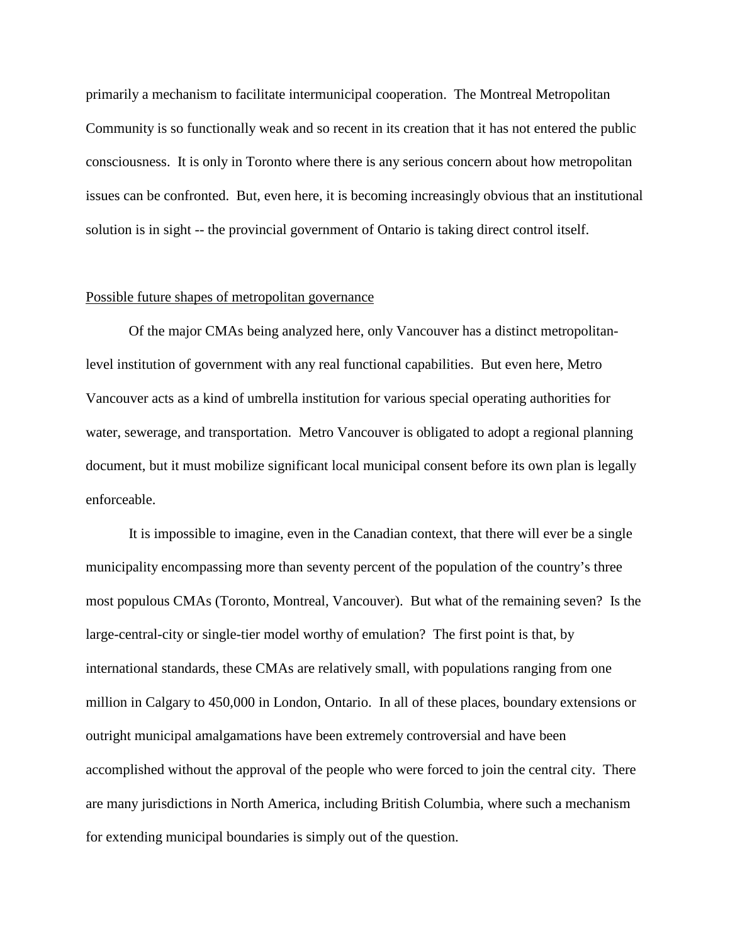primarily a mechanism to facilitate intermunicipal cooperation. The Montreal Metropolitan Community is so functionally weak and so recent in its creation that it has not entered the public consciousness. It is only in Toronto where there is any serious concern about how metropolitan issues can be confronted. But, even here, it is becoming increasingly obvious that an institutional solution is in sight -- the provincial government of Ontario is taking direct control itself.

### Possible future shapes of metropolitan governance

Of the major CMAs being analyzed here, only Vancouver has a distinct metropolitanlevel institution of government with any real functional capabilities. But even here, Metro Vancouver acts as a kind of umbrella institution for various special operating authorities for water, sewerage, and transportation. Metro Vancouver is obligated to adopt a regional planning document, but it must mobilize significant local municipal consent before its own plan is legally enforceable.

It is impossible to imagine, even in the Canadian context, that there will ever be a single municipality encompassing more than seventy percent of the population of the country's three most populous CMAs (Toronto, Montreal, Vancouver). But what of the remaining seven? Is the large-central-city or single-tier model worthy of emulation? The first point is that, by international standards, these CMAs are relatively small, with populations ranging from one million in Calgary to 450,000 in London, Ontario. In all of these places, boundary extensions or outright municipal amalgamations have been extremely controversial and have been accomplished without the approval of the people who were forced to join the central city. There are many jurisdictions in North America, including British Columbia, where such a mechanism for extending municipal boundaries is simply out of the question.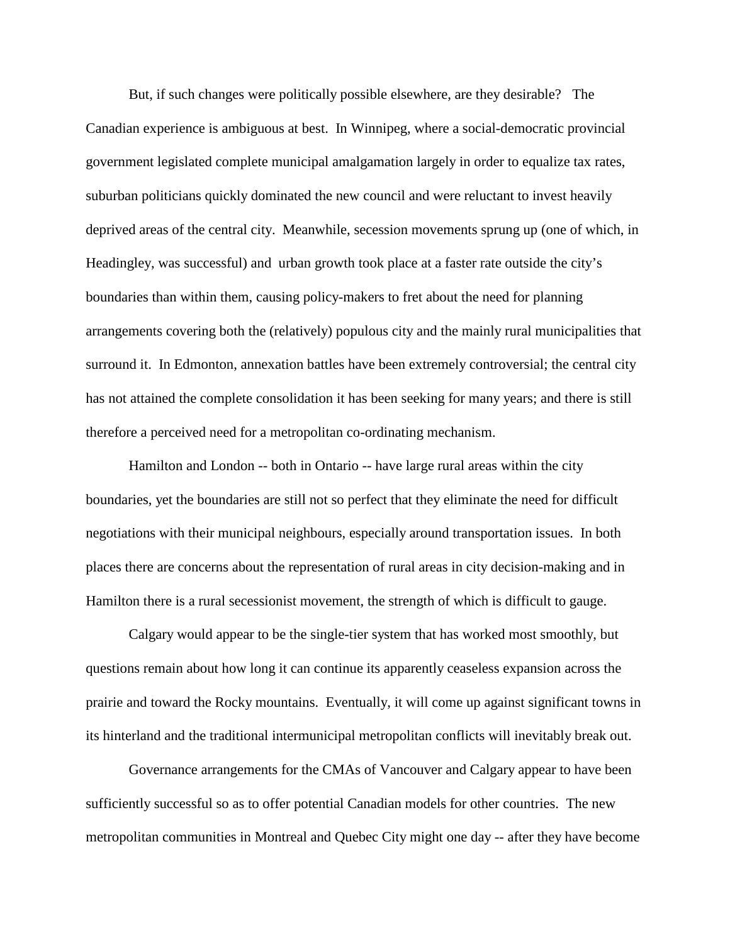But, if such changes were politically possible elsewhere, are they desirable? The Canadian experience is ambiguous at best. In Winnipeg, where a social-democratic provincial government legislated complete municipal amalgamation largely in order to equalize tax rates, suburban politicians quickly dominated the new council and were reluctant to invest heavily deprived areas of the central city. Meanwhile, secession movements sprung up (one of which, in Headingley, was successful) and urban growth took place at a faster rate outside the city's boundaries than within them, causing policy-makers to fret about the need for planning arrangements covering both the (relatively) populous city and the mainly rural municipalities that surround it. In Edmonton, annexation battles have been extremely controversial; the central city has not attained the complete consolidation it has been seeking for many years; and there is still therefore a perceived need for a metropolitan co-ordinating mechanism.

Hamilton and London -- both in Ontario -- have large rural areas within the city boundaries, yet the boundaries are still not so perfect that they eliminate the need for difficult negotiations with their municipal neighbours, especially around transportation issues. In both places there are concerns about the representation of rural areas in city decision-making and in Hamilton there is a rural secessionist movement, the strength of which is difficult to gauge.

Calgary would appear to be the single-tier system that has worked most smoothly, but questions remain about how long it can continue its apparently ceaseless expansion across the prairie and toward the Rocky mountains. Eventually, it will come up against significant towns in its hinterland and the traditional intermunicipal metropolitan conflicts will inevitably break out.

Governance arrangements for the CMAs of Vancouver and Calgary appear to have been sufficiently successful so as to offer potential Canadian models for other countries. The new metropolitan communities in Montreal and Quebec City might one day -- after they have become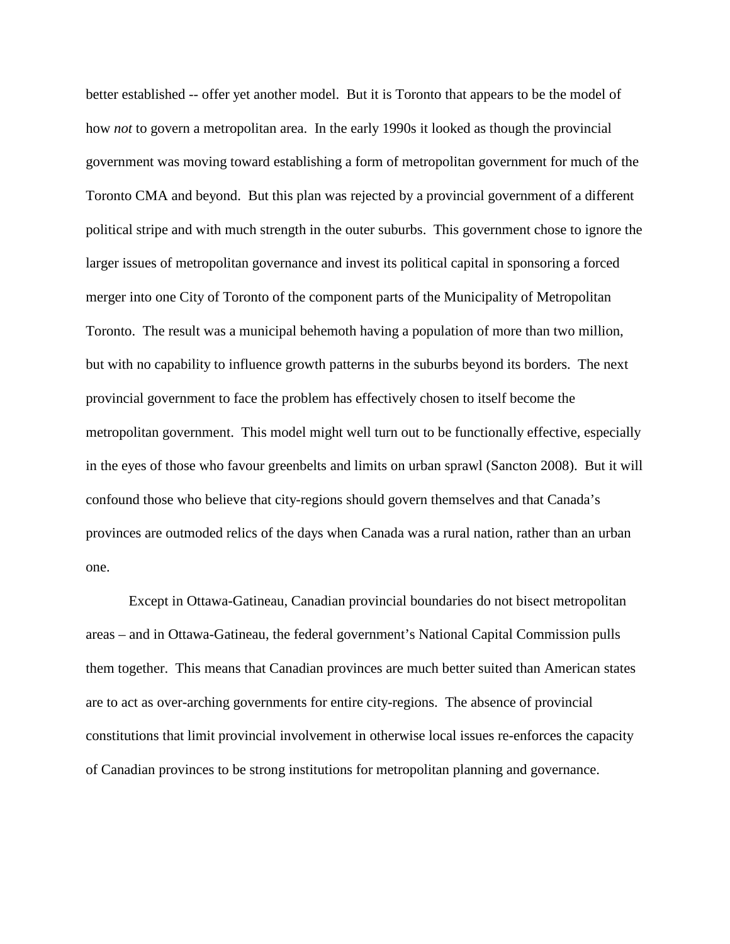better established -- offer yet another model. But it is Toronto that appears to be the model of how *not* to govern a metropolitan area. In the early 1990s it looked as though the provincial government was moving toward establishing a form of metropolitan government for much of the Toronto CMA and beyond. But this plan was rejected by a provincial government of a different political stripe and with much strength in the outer suburbs. This government chose to ignore the larger issues of metropolitan governance and invest its political capital in sponsoring a forced merger into one City of Toronto of the component parts of the Municipality of Metropolitan Toronto. The result was a municipal behemoth having a population of more than two million, but with no capability to influence growth patterns in the suburbs beyond its borders. The next provincial government to face the problem has effectively chosen to itself become the metropolitan government. This model might well turn out to be functionally effective, especially in the eyes of those who favour greenbelts and limits on urban sprawl (Sancton 2008). But it will confound those who believe that city-regions should govern themselves and that Canada's provinces are outmoded relics of the days when Canada was a rural nation, rather than an urban one.

Except in Ottawa-Gatineau, Canadian provincial boundaries do not bisect metropolitan areas – and in Ottawa-Gatineau, the federal government's National Capital Commission pulls them together. This means that Canadian provinces are much better suited than American states are to act as over-arching governments for entire city-regions. The absence of provincial constitutions that limit provincial involvement in otherwise local issues re-enforces the capacity of Canadian provinces to be strong institutions for metropolitan planning and governance.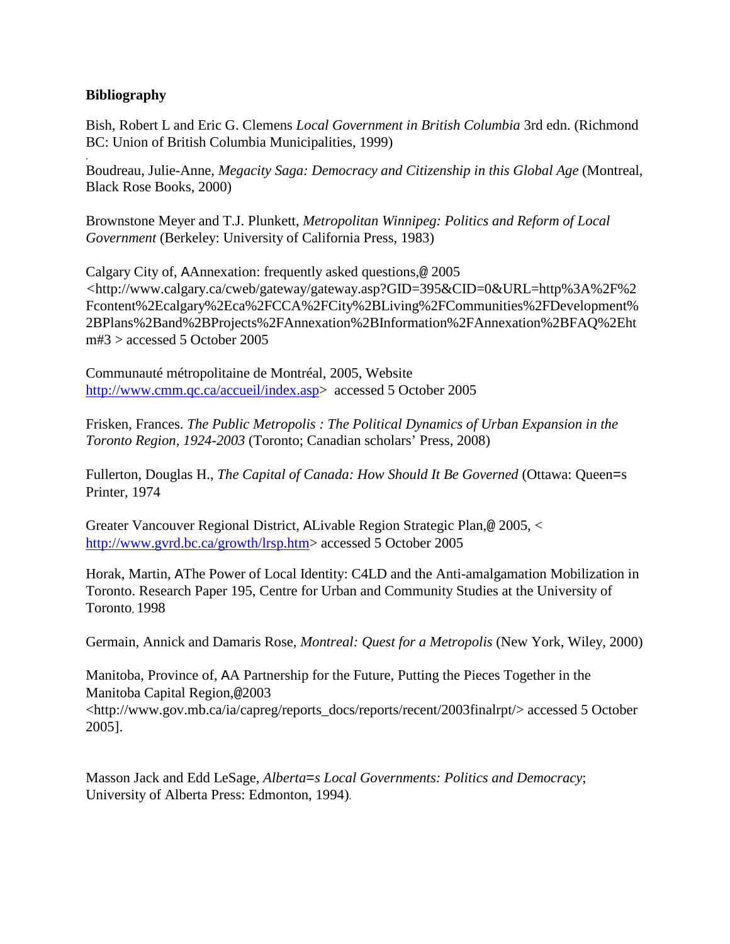## **Bibliography**

.

Bish, Robert L and Eric G. Clemens *Local Government in British Columbia* 3rd edn. (Richmond BC: Union of British Columbia Municipalities, 1999)

Boudreau, Julie-Anne, *Megacity Saga: Democracy and Citizenship in this Global Age* (Montreal, Black Rose Books, 2000)

Brownstone Meyer and T.J. Plunkett, *Metropolitan Winnipeg: Politics and Reform of Local Government* (Berkeley: University of California Press, 1983)

Calgary City of, AAnnexation: frequently asked questions,@ 2005 *<*http://www.calgary.ca/cweb/gateway/gateway.asp?GID=395&CID=0&URL=http%3A%2F%2 Fcontent%2Ecalgary%2Eca%2FCCA%2FCity%2BLiving%2FCommunities%2FDevelopment% 2BPlans%2Band%2BProjects%2FAnnexation%2BInformation%2FAnnexation%2BFAQ%2Eht m#3 > accessed 5 October 2005

Communauté métropolitaine de Montréal, 2005, Website http://www.cmm.qc.ca/accueil/index.asp> accessed 5 October 2005

Frisken, Frances. *The Public Metropolis : The Political Dynamics of Urban Expansion in the Toronto Region, 1924-2003* (Toronto; Canadian scholars' Press, 2008)

Fullerton, Douglas H., *The Capital of Canada: How Should It Be Governed* (Ottawa: Queen=s Printer, 1974

Greater Vancouver Regional District, ALivable Region Strategic Plan,@ 2005, < http://www.gvrd.bc.ca/growth/lrsp.htm> accessed 5 October 2005

Horak, Martin, AThe Power of Local Identity: C4LD and the Anti-amalgamation Mobilization in Toronto. Research Paper 195, Centre for Urban and Community Studies at the University of Toronto, 1998

Germain, Annick and Damaris Rose, *Montreal: Quest for a Metropolis* (New York, Wiley, 2000)

Manitoba, Province of, AA Partnership for the Future, Putting the Pieces Together in the Manitoba Capital Region,@2003

<http://www.gov.mb.ca/ia/capreg/reports\_docs/reports/recent/2003finalrpt/> accessed 5 October 2005].

Masson Jack and Edd LeSage, *Alberta=s Local Governments: Politics and Democracy*; University of Alberta Press: Edmonton, 1994).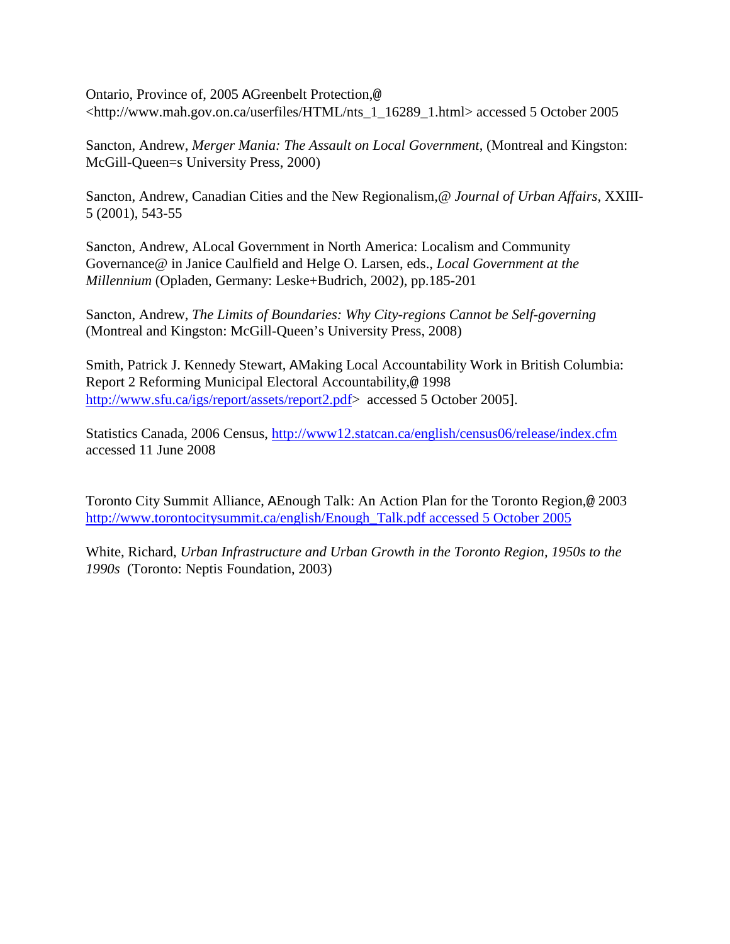Ontario, Province of, 2005 AGreenbelt Protection,@ <http://www.mah.gov.on.ca/userfiles/HTML/nts\_1\_16289\_1.html> accessed 5 October 2005

Sancton, Andrew, *Merger Mania: The Assault on Local Government*, (Montreal and Kingston: McGill-Queen=s University Press, 2000)

Sancton, Andrew, Canadian Cities and the New Regionalism,@ *Journal of Urban Affairs*, XXIII-5 (2001), 543-55

Sancton, Andrew, ALocal Government in North America: Localism and Community Governance@ in Janice Caulfield and Helge O. Larsen, eds., *Local Government at the Millennium* (Opladen, Germany: Leske+Budrich, 2002), pp.185-201

Sancton, Andrew, *The Limits of Boundaries: Why City-regions Cannot be Self-governing* (Montreal and Kingston: McGill-Queen's University Press, 2008)

Smith, Patrick J. Kennedy Stewart, AMaking Local Accountability Work in British Columbia: Report 2 Reforming Municipal Electoral Accountability,@ 1998 http://www.sfu.ca/igs/report/assets/report2.pdf> accessed 5 October 2005].

Statistics Canada, 2006 Census,<http://www12.statcan.ca/english/census06/release/index.cfm> accessed 11 June 2008

Toronto City Summit Alliance, AEnough Talk: An Action Plan for the Toronto Region,@ 2003 http://www.torontocitysummit.ca/english/Enough\_Talk.pdf accessed 5 October 2005

White, Richard, *Urban Infrastructure and Urban Growth in the Toronto Region, 1950s to the 1990s* (Toronto: Neptis Foundation, 2003)